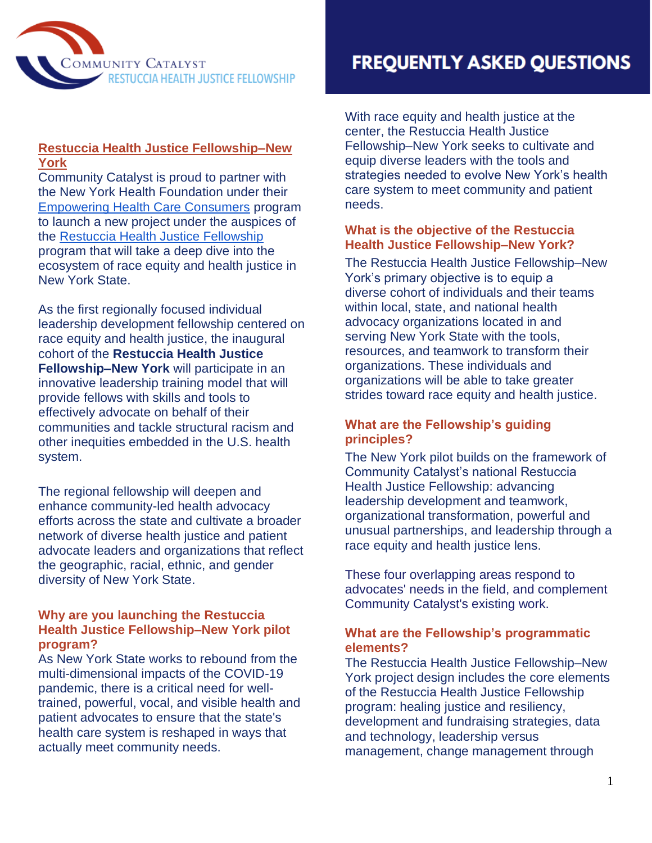

### **Restuccia Health Justice Fellowship–New York**

Community Catalyst is proud to partner with the New York Health Foundation under thei[r](https://nyshealthfoundation.org/what-we-fund/empowering-health-care-consumers/) [Empowering Health Care Consumers](https://nyshealthfoundation.org/what-we-fund/empowering-health-care-consumers/) program to launch a new project under the auspices of the [Restuccia Health Justice Fellowship](https://www.communitycatalyst.org/initiatives-and-issues/initiatives/restuccia-health-justice-fellowship) program that will take a deep dive into the ecosystem of race equity and health justice in New York State.

As the first regionally focused individual leadership development fellowship centered on race equity and health justice, the inaugural cohort of the **Restuccia Health Justice Fellowship–New York** will participate in an innovative leadership training model that will provide fellows with skills and tools to effectively advocate on behalf of their communities and tackle structural racism and other inequities embedded in the U.S. health system.

The regional fellowship will deepen and enhance community-led health advocacy efforts across the state and cultivate a broader network of diverse health justice and patient advocate leaders and organizations that reflect the geographic, racial, ethnic, and gender diversity of New York State.

### **Why are you launching the Restuccia Health Justice Fellowship–New York pilot program?**

As New York State works to rebound from the multi-dimensional impacts of the COVID-19 pandemic, there is a critical need for welltrained, powerful, vocal, and visible health and patient advocates to ensure that the state's health care system is reshaped in ways that actually meet community needs.

# **FREQUENTLY ASKED QUESTIONS**

With race equity and health justice at the center, the Restuccia Health Justice Fellowship–New York seeks to cultivate and equip diverse leaders with the tools and strategies needed to evolve New York's health care system to meet community and patient needs.

### **What is the objective of the Restuccia Health Justice Fellowship–New York?**

The Restuccia Health Justice Fellowship–New York's primary objective is to equip a diverse cohort of individuals and their teams within local, state, and national health advocacy organizations located in and serving New York State with the tools, resources, and teamwork to transform their organizations. These individuals and organizations will be able to take greater strides toward race equity and health justice.

### **What are the Fellowship's guiding principles?**

The New York pilot builds on the framework of Community Catalyst's national Restuccia Health Justice Fellowship: advancing leadership development and teamwork, organizational transformation, powerful and unusual partnerships, and leadership through a race equity and health justice lens.

These four overlapping areas respond to advocates' needs in the field, and complement Community Catalyst's existing work.

### **What are the Fellowship's programmatic elements?**

The Restuccia Health Justice Fellowship–New York project design includes the core elements of the Restuccia Health Justice Fellowship program: healing justice and resiliency, development and fundraising strategies, data and technology, leadership versus management, change management through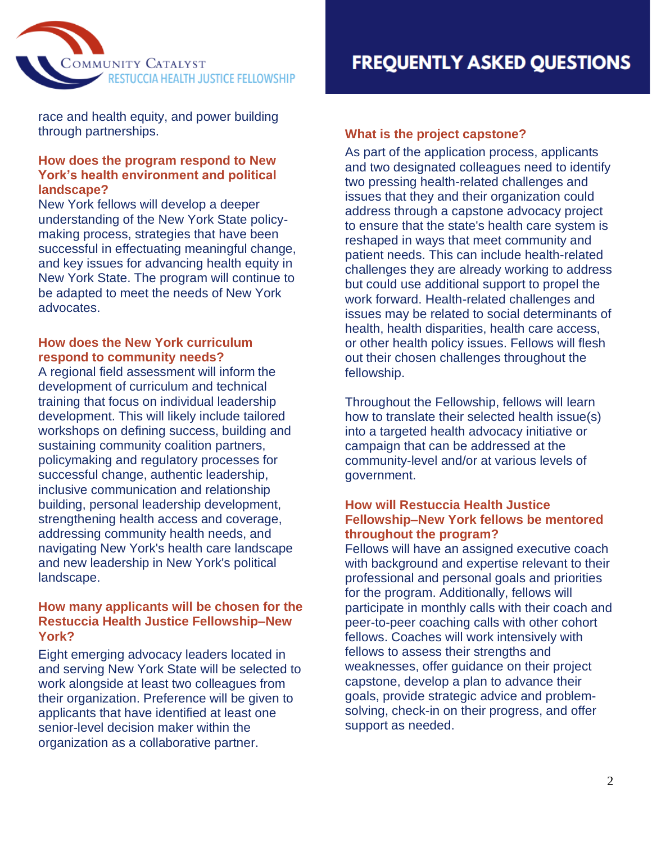

race and health equity, and power building through partnerships.

### **How does the program respond to New York's health environment and political landscape?**

New York fellows will develop a deeper understanding of the New York State policymaking process, strategies that have been successful in effectuating meaningful change, and key issues for advancing health equity in New York State. The program will continue to be adapted to meet the needs of New York advocates.

### **How does the New York curriculum respond to community needs?**

A regional field assessment will inform the development of curriculum and technical training that focus on individual leadership development. This will likely include tailored workshops on defining success, building and sustaining community coalition partners, policymaking and regulatory processes for successful change, authentic leadership, inclusive communication and relationship building, personal leadership development, strengthening health access and coverage, addressing community health needs, and navigating New York's health care landscape and new leadership in New York's political landscape.

### **How many applicants will be chosen for the Restuccia Health Justice Fellowship–New York?**

Eight emerging advocacy leaders located in and serving New York State will be selected to work alongside at least two colleagues from their organization. Preference will be given to applicants that have identified at least one senior-level decision maker within the organization as a collaborative partner.

## **What is the project capstone?**

As part of the application process, applicants and two designated colleagues need to identify two pressing health-related challenges and issues that they and their organization could address through a capstone advocacy project to ensure that the state's health care system is reshaped in ways that meet community and patient needs. This can include health-related challenges they are already working to address but could use additional support to propel the work forward. Health-related challenges and issues may be related to social determinants of health, health disparities, health care access, or other health policy issues. Fellows will flesh out their chosen challenges throughout the fellowship.

Throughout the Fellowship, fellows will learn how to translate their selected health issue(s) into a targeted health advocacy initiative or campaign that can be addressed at the community-level and/or at various levels of government.

### **How will Restuccia Health Justice Fellowship–New York fellows be mentored throughout the program?**

Fellows will have an assigned executive coach with background and expertise relevant to their professional and personal goals and priorities for the program. Additionally, fellows will participate in monthly calls with their coach and peer-to-peer coaching calls with other cohort fellows. Coaches will work intensively with fellows to assess their strengths and weaknesses, offer guidance on their project capstone, develop a plan to advance their goals, provide strategic advice and problemsolving, check-in on their progress, and offer support as needed.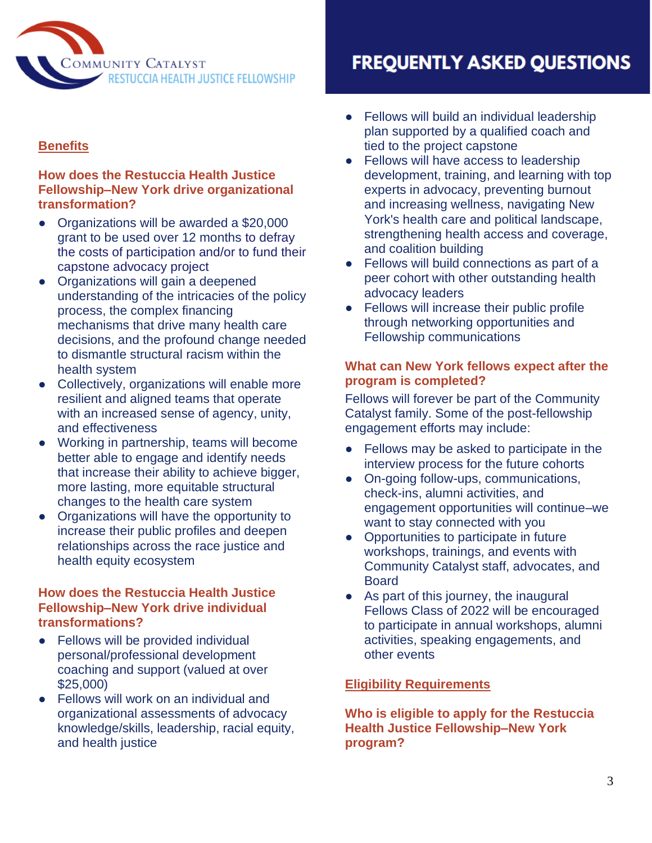

# **Benefits**

### **How does the Restuccia Health Justice Fellowship–New York drive organizational transformation?**

- Organizations will be awarded a \$20,000 grant to be used over 12 months to defray the costs of participation and/or to fund their capstone advocacy project
- Organizations will gain a deepened understanding of the intricacies of the policy process, the complex financing mechanisms that drive many health care decisions, and the profound change needed to dismantle structural racism within the health system
- Collectively, organizations will enable more resilient and aligned teams that operate with an increased sense of agency, unity, and effectiveness
- Working in partnership, teams will become better able to engage and identify needs that increase their ability to achieve bigger, more lasting, more equitable structural changes to the health care system
- Organizations will have the opportunity to increase their public profiles and deepen relationships across the race justice and health equity ecosystem

### **How does the Restuccia Health Justice Fellowship–New York drive individual transformations?**

- Fellows will be provided individual personal/professional development coaching and support (valued at over \$25,000)
- Fellows will work on an individual and organizational assessments of advocacy knowledge/skills, leadership, racial equity, and health justice

# **FREQUENTLY ASKED QUESTIONS**

- Fellows will build an individual leadership plan supported by a qualified coach and tied to the project capstone
- Fellows will have access to leadership development, training, and learning with top experts in advocacy, preventing burnout and increasing wellness, navigating New York's health care and political landscape, strengthening health access and coverage, and coalition building
- Fellows will build connections as part of a peer cohort with other outstanding health advocacy leaders
- Fellows will increase their public profile through networking opportunities and Fellowship communications

### **What can New York fellows expect after the program is completed?**

Fellows will forever be part of the Community Catalyst family. Some of the post-fellowship engagement efforts may include:

- Fellows may be asked to participate in the interview process for the future cohorts
- On-going follow-ups, communications, check-ins, alumni activities, and engagement opportunities will continue–we want to stay connected with you
- Opportunities to participate in future workshops, trainings, and events with Community Catalyst staff, advocates, and Board
- As part of this journey, the inaugural Fellows Class of 2022 will be encouraged to participate in annual workshops, alumni activities, speaking engagements, and other events

### **Eligibility Requirements**

**Who is eligible to apply for the Restuccia Health Justice Fellowship–New York program?**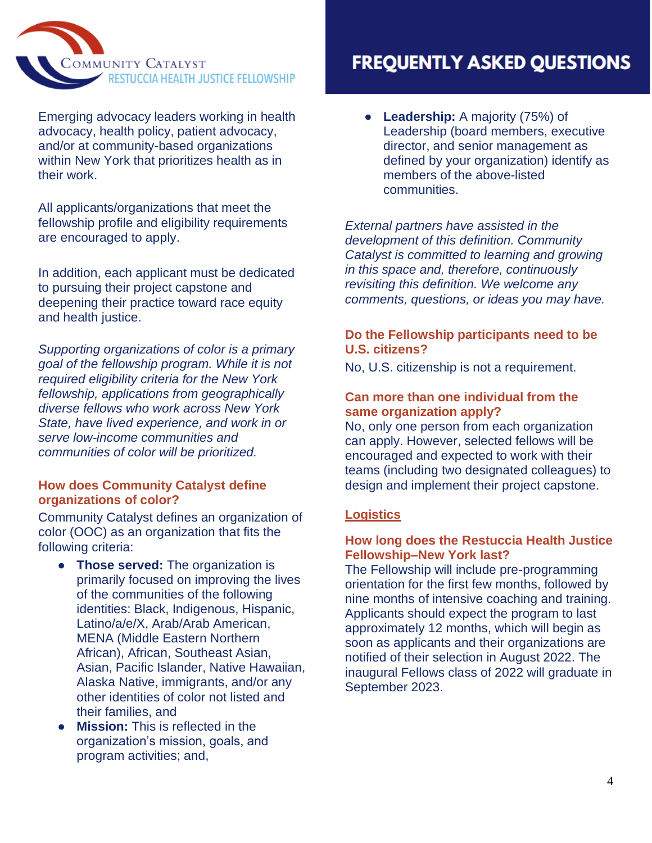

Emerging advocacy leaders working in health advocacy, health policy, patient advocacy, and/or at community-based organizations within New York that prioritizes health as in their work.

All applicants/organizations that meet the fellowship profile and eligibility requirements are encouraged to apply.

In addition, each applicant must be dedicated to pursuing their project capstone and deepening their practice toward race equity and health justice.

*Supporting organizations of color is a primary goal of the fellowship program. While it is not required eligibility criteria for the New York fellowship, applications from geographically diverse fellows who work across New York State, have lived experience, and work in or serve low-income communities and communities of color will be prioritized.* 

### **How does Community Catalyst define organizations of color?**

Community Catalyst defines an organization of color (OOC) as an organization that fits the following criteria:

- **Those served:** The organization is primarily focused on improving the lives of the communities of the following identities: Black, Indigenous, Hispanic, Latino/a/e/X, Arab/Arab American, MENA (Middle Eastern Northern African), African, Southeast Asian, Asian, Pacific Islander, Native Hawaiian, Alaska Native, immigrants, and/or any other identities of color not listed and their families, and
- **Mission:** This is reflected in the organization's mission, goals, and program activities; and,

# **FREQUENTLY ASKED QUESTIONS**

● **Leadership:** A majority (75%) of Leadership (board members, executive director, and senior management as defined by your organization) identify as members of the above-listed communities.

*External partners have assisted in the development of this definition. Community Catalyst is committed to learning and growing in this space and, therefore, continuously revisiting this definition. We welcome any comments, questions, or ideas you may have.*

### **Do the Fellowship participants need to be U.S. citizens?**

No, U.S. citizenship is not a requirement.

### **Can more than one individual from the same organization apply?**

No, only one person from each organization can apply. However, selected fellows will be encouraged and expected to work with their teams (including two designated colleagues) to design and implement their project capstone.

### **Logistics**

### **How long does the Restuccia Health Justice Fellowship–New York last?**

The Fellowship will include pre-programming orientation for the first few months, followed by nine months of intensive coaching and training. Applicants should expect the program to last approximately 12 months, which will begin as soon as applicants and their organizations are notified of their selection in August 2022. The inaugural Fellows class of 2022 will graduate in September 2023.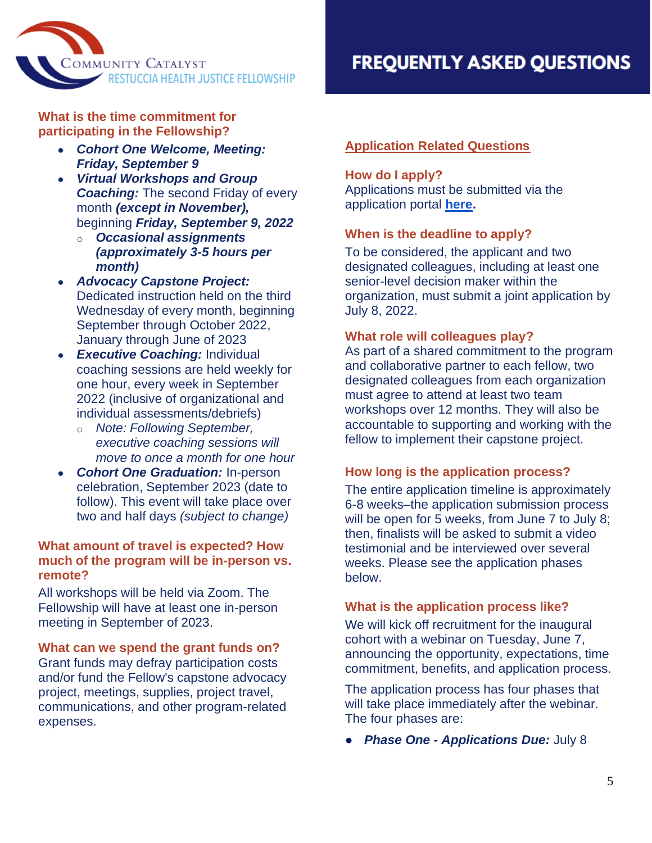

**What is the time commitment for participating in the Fellowship?** 

- *Cohort One Welcome, Meeting: Friday, September 9*
- *Virtual Workshops and Group*  **Coaching:** The second Friday of every month *(except in November),* beginning *Friday, September 9, 2022*
	- o *Occasional assignments (approximately 3-5 hours per month)*
- *Advocacy Capstone Project:*  Dedicated instruction held on the third Wednesday of every month, beginning September through October 2022, January through June of 2023
- **Executive Coaching: Individual** coaching sessions are held weekly for one hour, every week in September 2022 (inclusive of organizational and individual assessments/debriefs)
	- o *Note: Following September, executive coaching sessions will move to once a month for one hour*
- *Cohort One Graduation:* In-person celebration, September 2023 (date to follow). This event will take place over two and half days *(subject to change)*

### **What amount of travel is expected? How much of the program will be in-person vs. remote?**

All workshops will be held via Zoom. The Fellowship will have at least one in-person meeting in September of 2023.

### **What can we spend the grant funds on?**

Grant funds may defray participation costs and/or fund the Fellow's capstone advocacy project, meetings, supplies, project travel, communications, and other program-related expenses.

# **FREQUENTLY ASKED QUESTIONS**

## **Application Related Questions**

### **How do I apply?**

Applications must be submitted via the application portal **[here.](https://www.tfaforms.com/4984142)**

### **When is the deadline to apply?**

To be considered, the applicant and two designated colleagues, including at least one senior-level decision maker within the organization, must submit a joint application by July 8, 2022.

### **What role will colleagues play?**

As part of a shared commitment to the program and collaborative partner to each fellow, two designated colleagues from each organization must agree to attend at least two team workshops over 12 months. They will also be accountable to supporting and working with the fellow to implement their capstone project.

### **How long is the application process?**

The entire application timeline is approximately 6-8 weeks–the application submission process will be open for 5 weeks, from June 7 to July 8; then, finalists will be asked to submit a video testimonial and be interviewed over several weeks. Please see the application phases below.

### **What is the application process like?**

We will kick off recruitment for the inaugural cohort with a webinar on Tuesday, June 7, announcing the opportunity, expectations, time commitment, benefits, and application process.

The application process has four phases that will take place immediately after the webinar. The four phases are:

● *Phase One - Applications Due:* July 8